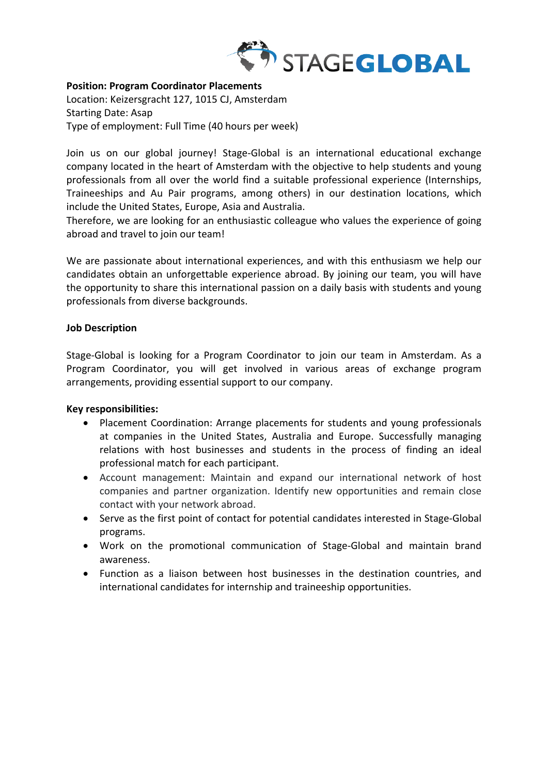

## **Position: Program Coordinator Placements**

Location: Keizersgracht 127, 1015 CJ, Amsterdam Starting Date: Asap Type of employment: Full Time (40 hours per week)

Join us on our global journey! Stage-Global is an international educational exchange company located in the heart of Amsterdam with the objective to help students and young professionals from all over the world find a suitable professional experience (Internships, Traineeships and Au Pair programs, among others) in our destination locations, which include the United States, Europe, Asia and Australia.

Therefore, we are looking for an enthusiastic colleague who values the experience of going abroad and travel to join our team!

We are passionate about international experiences, and with this enthusiasm we help our candidates obtain an unforgettable experience abroad. By joining our team, you will have the opportunity to share this international passion on a daily basis with students and young professionals from diverse backgrounds.

### **Job Description**

Stage-Global is looking for a Program Coordinator to join our team in Amsterdam. As a Program Coordinator, you will get involved in various areas of exchange program arrangements, providing essential support to our company.

# **Key responsibilities:**

- Placement Coordination: Arrange placements for students and young professionals at companies in the United States, Australia and Europe. Successfully managing relations with host businesses and students in the process of finding an ideal professional match for each participant.
- Account management: Maintain and expand our international network of host companies and partner organization. Identify new opportunities and remain close contact with your network abroad.
- Serve as the first point of contact for potential candidates interested in Stage-Global programs.
- Work on the promotional communication of Stage-Global and maintain brand awareness.
- Function as a liaison between host businesses in the destination countries, and international candidates for internship and traineeship opportunities.